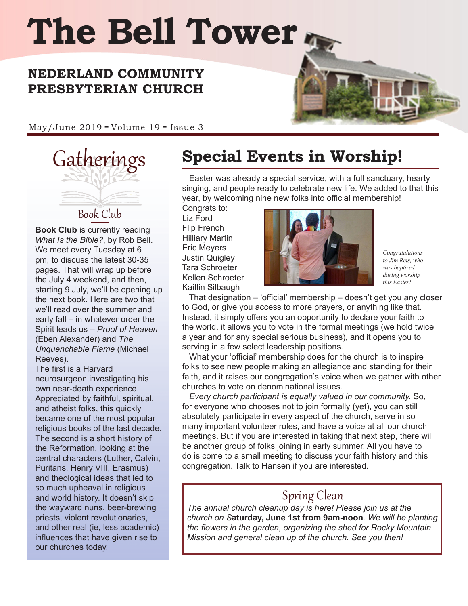# **The Bell Tower**

#### **NEDERLAND COMMUNITY PRESBYTERIAN CHURCH**

May/June 2019 **-** Volume 19 **-** Issue 3



**Book Club** is currently reading *What Is the Bible?*, by Rob Bell. We meet every Tuesday at 6 pm, to discuss the latest 30-35 pages. That will wrap up before the July 4 weekend, and then, starting 9 July, we'll be opening up the next book. Here are two that we'll read over the summer and early fall – in whatever order the Spirit leads us – *Proof of Heaven* (Eben Alexander) and *The Unquenchable Flame* (Michael Reeves).

The first is a Harvard neurosurgeon investigating his own near-death experience. Appreciated by faithful, spiritual, and atheist folks, this quickly became one of the most popular religious books of the last decade. The second is a short history of the Reformation, looking at the central characters (Luther, Calvin, Puritans, Henry VIII, Erasmus) and theological ideas that led to so much upheaval in religious and world history. It doesn't skip the wayward nuns, beer-brewing priests, violent revolutionaries, and other real (ie, less academic) influences that have given rise to our churches today.

# Gatherings **Special Events in Worship!**

 Easter was already a special service, with a full sanctuary, hearty singing, and people ready to celebrate new life. We added to that this year, by welcoming nine new folks into official membership!

Congrats to: Liz Ford Flip French Hilliary Martin Eric Meyers Justin Quigley Tara Schroeter Kellen Schroeter Kaitlin Silbaugh



*Congratulations to Jim Reis, who was baptized during worship this Easter!*

 That designation – 'official' membership – doesn't get you any closer to God, or give you access to more prayers, or anything like that. Instead, it simply offers you an opportunity to declare your faith to the world, it allows you to vote in the formal meetings (we hold twice a year and for any special serious business), and it opens you to serving in a few select leadership positions.

 What your 'official' membership does for the church is to inspire folks to see new people making an allegiance and standing for their faith, and it raises our congregation's voice when we gather with other churches to vote on denominational issues.

 *Every church participant is equally valued in our community.* So, for everyone who chooses not to join formally (yet), you can still absolutely participate in every aspect of the church, serve in so many important volunteer roles, and have a voice at all our church meetings. But if you are interested in taking that next step, there will be another group of folks joining in early summer. All you have to do is come to a small meeting to discuss your faith history and this congregation. Talk to Hansen if you are interested.

#### Spring Clean

*The annual church cleanup day is here! Please join us at the church on S***aturday, June 1st from 9am-noon***. We will be planting the flowers in the garden, organizing the shed for Rocky Mountain Mission and general clean up of the church. See you then!*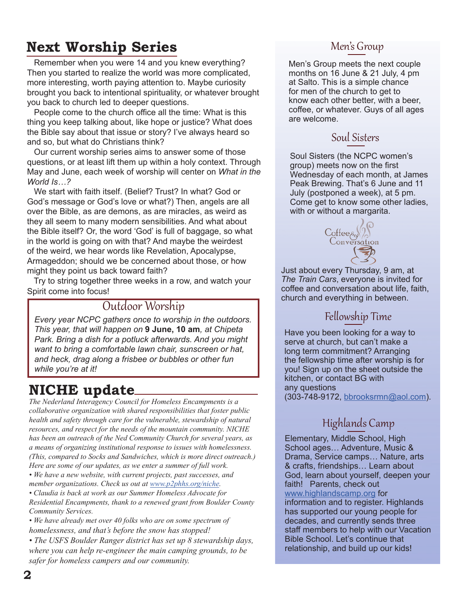# **Next Worship Series**

Remember when you were 14 and you knew everything? Then you started to realize the world was more complicated, more interesting, worth paying attention to. Maybe curiosity brought you back to intentional spirituality, or whatever brought you back to church led to deeper questions.

 People come to the church office all the time: What is this thing you keep talking about, like hope or justice? What does the Bible say about that issue or story? I've always heard so and so, but what do Christians think?

 Our current worship series aims to answer some of those questions, or at least lift them up within a holy context. Through May and June, each week of worship will center on *What in the World Is…?*

 We start with faith itself. (Belief? Trust? In what? God or God's message or God's love or what?) Then, angels are all over the Bible, as are demons, as are miracles, as weird as they all seem to many modern sensibilities. And what about the Bible itself? Or, the word 'God' is full of baggage, so what in the world is going on with that? And maybe the weirdest of the weird, we hear words like Revelation, Apocalypse, Armageddon; should we be concerned about those, or how might they point us back toward faith?

 Try to string together three weeks in a row, and watch your Spirit come into focus!

#### Outdoor Worship

*Every year NCPC gathers once to worship in the outdoors. This year, that will happen on* **9 June, 10 am***, at Chipeta Park. Bring a dish for a potluck afterwards. And you might want to bring a comfortable lawn chair, sunscreen or hat, and heck, drag along a frisbee or bubbles or other fun while you're at it!*

# **NICHE update**

*The Nederland Interagency Council for Homeless Encampments is a collaborative organization with shared responsibilities that foster public health and safety through care for the vulnerable, stewardship of natural resources, and respect for the needs of the mountain community. NICHE has been an outreach of the Ned Community Church for several years, as a means of organizing institutional response to issues with homelessness. (This, compared to Socks and Sandwiches, which is more direct outreach.) Here are some of our updates, as we enter a summer of full work.* 

*• We have a new website, with current projects, past successes, and member organizations. Check us out at [www.p2phhs.org/niche.](http://www.p2phhs.org/niche)* 

*• Claudia is back at work as our Summer Homeless Advocate for Residential Encampments, thank to a renewed grant from Boulder County Community Services.* 

*• We have already met over 40 folks who are on some spectrum of homelessness, and that's before the snow has stopped!* 

*• The USFS Boulder Ranger district has set up 8 stewardship days, where you can help re-engineer the main camping grounds, to be safer for homeless campers and our community.*

#### Men's Group

Men's Group meets the next couple months on 16 June & 21 July, 4 pm at Salto. This is a simple chance for men of the church to get to know each other better, with a beer, coffee, or whatever. Guys of all ages are welcome.

#### Soul Sisters

Soul Sisters (the NCPC women's group) meets now on the first Wednesday of each month, at James Peak Brewing. That's 6 June and 11 July (postponed a week), at 5 pm. Come get to know some other ladies, with or without a margarita.



Just about every Thursday, 9 am, at *The Train Cars*, everyone is invited for coffee and conversation about life, faith, church and everything in between.

#### Fellowship Time

Have you been looking for a way to serve at church, but can't make a long term commitment? Arranging the fellowship time after worship is for you! Sign up on the sheet outside the kitchen, or contact BG with any questions (303-748-9172, [bbrooksrmn@aol.com\)](mailto:bbrooksrmn%40aol.com?subject=).

## Highlands Camp

Elementary, Middle School, High School ages… Adventure, Music & Drama, Service camps… Nature, arts & crafts, friendships… Learn about God, learn about yourself, deepen your faith! Parents, check out [www.highlandscamp.org](http://www.highlandscamp.org) for information and to register. Highlands has supported our young people for decades, and currently sends three staff members to help with our Vacation Bible School. Let's continue that relationship, and build up our kids!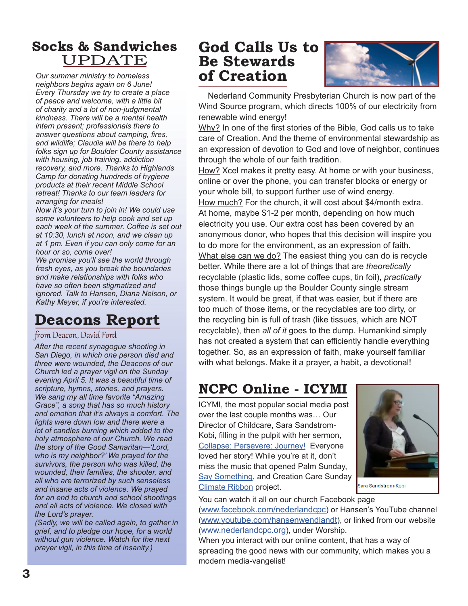### **Socks & Sandwiches**  UPDATE

*Our summer ministry to homeless neighbors begins again on 6 June! Every Thursday we try to create a place of peace and welcome, with a little bit of charity and a lot of non-judgmental kindness. There will be a mental health intern present; professionals there to answer questions about camping, fires, and wildlife; Claudia will be there to help folks sign up for Boulder County assistance with housing, job training, addiction recovery, and more. Thanks to Highlands Camp for donating hundreds of hygiene products at their recent Middle School retreat! Thanks to our team leaders for arranging for meals!* 

*Now it's your turn to join in! We could use some volunteers to help cook and set up each week of the summer. Coffee is set out at 10:30, lunch at noon, and we clean up at 1 pm. Even if you can only come for an hour or so, come over!* 

*We promise you'll see the world through fresh eyes, as you break the boundaries and make relationships with folks who have so often been stigmatized and ignored. Talk to Hansen, Diana Nelson, or Kathy Meyer, if you're interested.*

# **Deacons Report**

#### from Deacon, David Ford

*After the recent synagogue shooting in San Diego, in which one person died and three were wounded, the Deacons of our Church led a prayer vigil on the Sunday evening April 5. It was a beautiful time of scripture, hymns, stories, and prayers. We sang my all time favorite "Amazing Grace", a song that has so much history and emotion that it's always a comfort. The lights were down low and there were a lot of candles burning which added to the holy atmosphere of our Church. We read the story of the Good Samaritan—'Lord, who is my neighbor?' We prayed for the survivors, the person who was killed, the wounded, their families, the shooter, and all who are terrorized by such senseless and insane acts of violence. We prayed for an end to church and school shootings and all acts of violence. We closed with the Lord's prayer.* 

*(Sadly, we will be called again, to gather in grief, and to pledge our hope, for a world without gun violence. Watch for the next prayer vigil, in this time of insanity.)*

# **God Calls Us to Be Stewards of Creation**



 Nederland Community Presbyterian Church is now part of the Wind Source program, which directs 100% of our electricity from renewable wind energy!

Why? In one of the first stories of the Bible, God calls us to take care of Creation. And the theme of environmental stewardship as an expression of devotion to God and love of neighbor, continues through the whole of our faith tradition.

How? Xcel makes it pretty easy. At home or with your business, online or over the phone, you can transfer blocks or energy or your whole bill, to support further use of wind energy. How much? For the church, it will cost about \$4/month extra. At home, maybe \$1-2 per month, depending on how much electricity you use. Our extra cost has been covered by an anonymous donor, who hopes that this decision will inspire you to do more for the environment, as an expression of faith. What else can we do? The easiest thing you can do is recycle better. While there are a lot of things that are *theoretically* recyclable (plastic lids, some coffee cups, tin foil), *practically*  those things bungle up the Boulder County single stream system. It would be great, if that was easier, but if there are too much of those items, or the recyclables are too dirty, or the recycling bin is full of trash (like tissues, which are NOT recyclable), then *all of it* goes to the dump. Humankind simply has not created a system that can efficiently handle everything together. So, as an expression of faith, make yourself familiar with what belongs. Make it a prayer, a habit, a devotional!

# **NCPC Online - ICYMI**

ICYMI, the most popular social media post over the last couple months was… Our Director of Childcare, Sara Sandstrom-Kobi, filling in the pulpit with her sermon, [Collapse: Persevere: Journey!](https://www.youtube.com/watch?v=qyo2s50BfpY&t=5s) Everyone loved her story! While you're at it, don't miss the music that opened Palm Sunday, [Say Something,](https://www.youtube.com/watch?v=ctGPY3XZ0Qo) and Creation Care Sunday [Climate Ribbon](https://www.youtube.com/watch?v=FflV1LNbJs0) project.



Sara Sandstrom-Kobi

You can watch it all on our church Facebook page

[\(www.facebook.com/nederlandcpc\)](http://www.facebook.com/nederlandcpc) or Hansen's YouTube channel [\(www.youtube.com/hansenwendlandt](http://www.youtube.com/hansenwendlandt)), or linked from our website [\(www.nederlandcpc.org](http://www.nederlandcpc.org)), under Worship.

When you interact with our online content, that has a way of spreading the good news with our community, which makes you a modern media-vangelist!